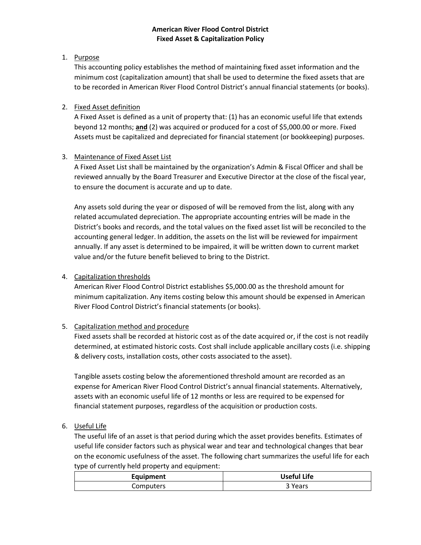### **American River Flood Control District Fixed Asset & Capitalization Policy**

## 1. Purpose

This accounting policy establishes the method of maintaining fixed asset information and the minimum cost (capitalization amount) that shall be used to determine the fixed assets that are to be recorded in American River Flood Control District's annual financial statements (or books).

## 2. Fixed Asset definition

A Fixed Asset is defined as a unit of property that: (1) has an economic useful life that extends beyond 12 months; **and** (2) was acquired or produced for a cost of \$5,000.00 or more. Fixed Assets must be capitalized and depreciated for financial statement (or bookkeeping) purposes.

# 3. Maintenance of Fixed Asset List

A Fixed Asset List shall be maintained by the organization's Admin & Fiscal Officer and shall be reviewed annually by the Board Treasurer and Executive Director at the close of the fiscal year, to ensure the document is accurate and up to date.

Any assets sold during the year or disposed of will be removed from the list, along with any related accumulated depreciation. The appropriate accounting entries will be made in the District's books and records, and the total values on the fixed asset list will be reconciled to the accounting general ledger. In addition, the assets on the list will be reviewed for impairment annually. If any asset is determined to be impaired, it will be written down to current market value and/or the future benefit believed to bring to the District.

### 4. Capitalization thresholds

American River Flood Control District establishes \$5,000.00 as the threshold amount for minimum capitalization. Any items costing below this amount should be expensed in American River Flood Control District's financial statements (or books).

# 5. Capitalization method and procedure

Fixed assets shall be recorded at historic cost as of the date acquired or, if the cost is not readily determined, at estimated historic costs. Cost shall include applicable ancillary costs (i.e. shipping & delivery costs, installation costs, other costs associated to the asset).

Tangible assets costing below the aforementioned threshold amount are recorded as an expense for American River Flood Control District's annual financial statements. Alternatively, assets with an economic useful life of 12 months or less are required to be expensed for financial statement purposes, regardless of the acquisition or production costs.

### 6. Useful Life

The useful life of an asset is that period during which the asset provides benefits. Estimates of useful life consider factors such as physical wear and tear and technological changes that bear on the economic usefulness of the asset. The following chart summarizes the useful life for each type of currently held property and equipment:

| Equipment | <b>Useful Life</b> |
|-----------|--------------------|
| Computers | 'Years             |